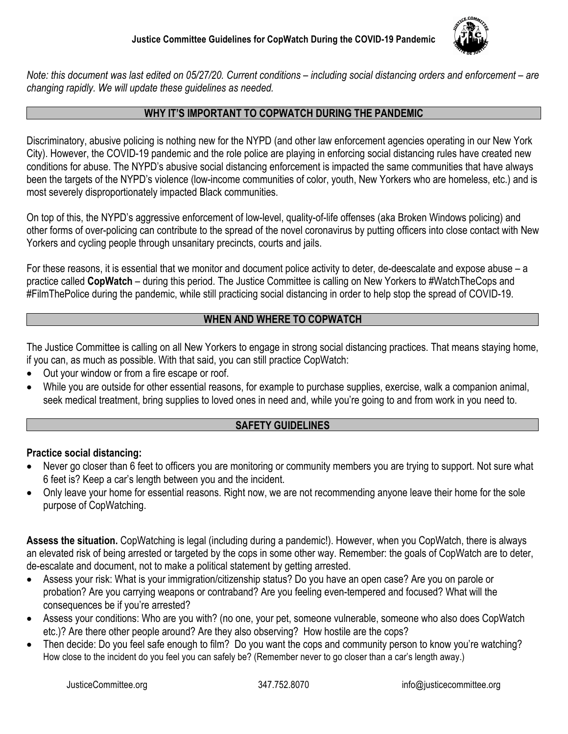

*Note: this document was last edited on 05/27/20. Current conditions – including social distancing orders and enforcement – are changing rapidly. We will update these guidelines as needed.*

### **WHY IT'S IMPORTANT TO COPWATCH DURING THE PANDEMIC**

Discriminatory, abusive policing is nothing new for the NYPD (and other law enforcement agencies operating in our New York City). However, the COVID-19 pandemic and the role police are playing in enforcing social distancing rules have created new conditions for abuse. The NYPD's abusive social distancing enforcement is impacted the same communities that have always been the targets of the NYPD's violence (low-income communities of color, youth, New Yorkers who are homeless, etc.) and is most severely disproportionately impacted Black communities.

On top of this, the NYPD's aggressive enforcement of low-level, quality-of-life offenses (aka Broken Windows policing) and other forms of over-policing can contribute to the spread of the novel coronavirus by putting officers into close contact with New Yorkers and cycling people through unsanitary precincts, courts and jails.

For these reasons, it is essential that we monitor and document police activity to deter, de-deescalate and expose abuse – a practice called **CopWatch** – during this period. The Justice Committee is calling on New Yorkers to #WatchTheCops and #FilmThePolice during the pandemic, while still practicing social distancing in order to help stop the spread of COVID-19.

### **WHEN AND WHERE TO COPWATCH**

The Justice Committee is calling on all New Yorkers to engage in strong social distancing practices. That means staying home, if you can, as much as possible. With that said, you can still practice CopWatch:

- Out your window or from a fire escape or roof.
- While you are outside for other essential reasons, for example to purchase supplies, exercise, walk a companion animal, seek medical treatment, bring supplies to loved ones in need and, while you're going to and from work in you need to.

### **SAFETY GUIDELINES**

### **Practice social distancing:**

- Never go closer than 6 feet to officers you are monitoring or community members you are trying to support. Not sure what 6 feet is? Keep a car's length between you and the incident.
- Only leave your home for essential reasons. Right now, we are not recommending anyone leave their home for the sole purpose of CopWatching.

**Assess the situation.** CopWatching is legal (including during a pandemic!). However, when you CopWatch, there is always an elevated risk of being arrested or targeted by the cops in some other way. Remember: the goals of CopWatch are to deter, de-escalate and document, not to make a political statement by getting arrested.

- Assess your risk: What is your immigration/citizenship status? Do you have an open case? Are you on parole or probation? Are you carrying weapons or contraband? Are you feeling even-tempered and focused? What will the consequences be if you're arrested?
- Assess your conditions: Who are you with? (no one, your pet, someone vulnerable, someone who also does CopWatch etc.)? Are there other people around? Are they also observing? How hostile are the cops?
- Then decide: Do you feel safe enough to film? Do you want the cops and community person to know you're watching? How close to the incident do you feel you can safely be? (Remember never to go closer than a car's length away.)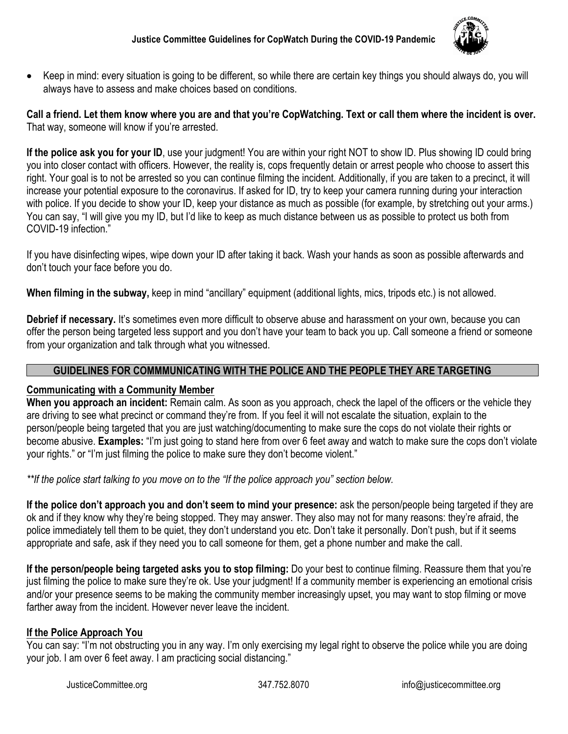

• Keep in mind: every situation is going to be different, so while there are certain key things you should always do, you will always have to assess and make choices based on conditions.

**Call a friend. Let them know where you are and that you're CopWatching. Text or call them where the incident is over.**  That way, someone will know if you're arrested.

If the police ask you for your ID, use your judgment! You are within your right NOT to show ID. Plus showing ID could bring you into closer contact with officers. However, the reality is, cops frequently detain or arrest people who choose to assert this right. Your goal is to not be arrested so you can continue filming the incident. Additionally, if you are taken to a precinct, it will increase your potential exposure to the coronavirus. If asked for ID, try to keep your camera running during your interaction with police. If you decide to show your ID, keep your distance as much as possible (for example, by stretching out your arms.) You can say, "I will give you my ID, but I'd like to keep as much distance between us as possible to protect us both from COVID-19 infection."

If you have disinfecting wipes, wipe down your ID after taking it back. Wash your hands as soon as possible afterwards and don't touch your face before you do.

**When filming in the subway,** keep in mind "ancillary" equipment (additional lights, mics, tripods etc.) is not allowed.

**Debrief if necessary.** It's sometimes even more difficult to observe abuse and harassment on your own, because you can offer the person being targeted less support and you don't have your team to back you up. Call someone a friend or someone from your organization and talk through what you witnessed.

### **GUIDELINES FOR COMMMUNICATING WITH THE POLICE AND THE PEOPLE THEY ARE TARGETING**

### **Communicating with a Community Member**

**When you approach an incident:** Remain calm. As soon as you approach, check the lapel of the officers or the vehicle they are driving to see what precinct or command they're from. If you feel it will not escalate the situation, explain to the person/people being targeted that you are just watching/documenting to make sure the cops do not violate their rights or become abusive. **Examples:** "I'm just going to stand here from over 6 feet away and watch to make sure the cops don't violate your rights." or "I'm just filming the police to make sure they don't become violent."

*\*\*If the police start talking to you move on to the "If the police approach you" section below.*

**If the police don't approach you and don't seem to mind your presence:** ask the person/people being targeted if they are ok and if they know why they're being stopped. They may answer. They also may not for many reasons: they're afraid, the police immediately tell them to be quiet, they don't understand you etc. Don't take it personally. Don't push, but if it seems appropriate and safe, ask if they need you to call someone for them, get a phone number and make the call.

**If the person/people being targeted asks you to stop filming:** Do your best to continue filming. Reassure them that you're just filming the police to make sure they're ok. Use your judgment! If a community member is experiencing an emotional crisis and/or your presence seems to be making the community member increasingly upset, you may want to stop filming or move farther away from the incident. However never leave the incident.

### **If the Police Approach You**

You can say: "I'm not obstructing you in any way. I'm only exercising my legal right to observe the police while you are doing your job. I am over 6 feet away. I am practicing social distancing."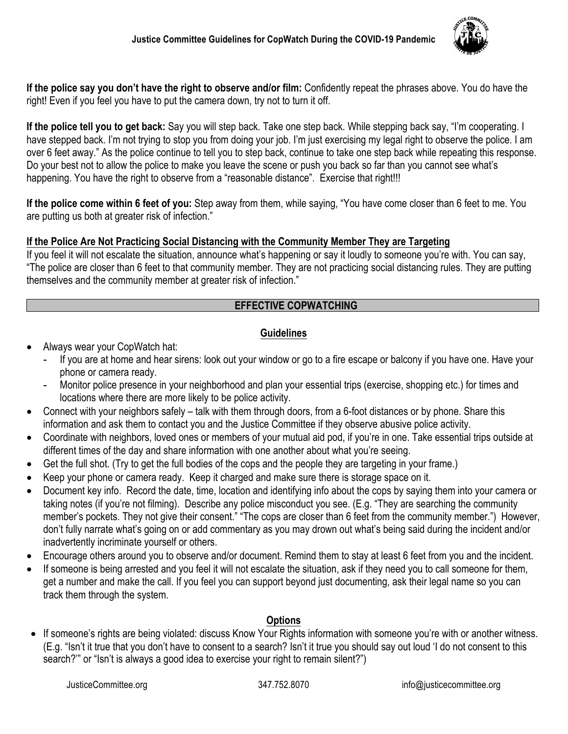

**If the police say you don't have the right to observe and/or film:** Confidently repeat the phrases above. You do have the right! Even if you feel you have to put the camera down, try not to turn it off.

**If the police tell you to get back:** Say you will step back. Take one step back. While stepping back say, "I'm cooperating. I have stepped back. I'm not trying to stop you from doing your job. I'm just exercising my legal right to observe the police. I am over 6 feet away." As the police continue to tell you to step back, continue to take one step back while repeating this response. Do your best not to allow the police to make you leave the scene or push you back so far than you cannot see what's happening. You have the right to observe from a "reasonable distance". Exercise that right!!!

**If the police come within 6 feet of you:** Step away from them, while saying, "You have come closer than 6 feet to me. You are putting us both at greater risk of infection."

# **If the Police Are Not Practicing Social Distancing with the Community Member They are Targeting**

If you feel it will not escalate the situation, announce what's happening or say it loudly to someone you're with. You can say, "The police are closer than 6 feet to that community member. They are not practicing social distancing rules. They are putting themselves and the community member at greater risk of infection."

## **EFFECTIVE COPWATCHING**

## **Guidelines**

- Always wear your CopWatch hat:
	- If you are at home and hear sirens: look out your window or go to a fire escape or balcony if you have one. Have your phone or camera ready.
	- Monitor police presence in your neighborhood and plan your essential trips (exercise, shopping etc.) for times and locations where there are more likely to be police activity.
- Connect with your neighbors safely talk with them through doors, from a 6-foot distances or by phone. Share this information and ask them to contact you and the Justice Committee if they observe abusive police activity.
- Coordinate with neighbors, loved ones or members of your mutual aid pod, if you're in one. Take essential trips outside at different times of the day and share information with one another about what you're seeing.
- Get the full shot. (Try to get the full bodies of the cops and the people they are targeting in your frame.)
- Keep your phone or camera ready. Keep it charged and make sure there is storage space on it.
- Document key info. Record the date, time, location and identifying info about the cops by saying them into your camera or taking notes (if you're not filming). Describe any police misconduct you see. (E.g. "They are searching the community member's pockets. They not give their consent." "The cops are closer than 6 feet from the community member.") However, don't fully narrate what's going on or add commentary as you may drown out what's being said during the incident and/or inadvertently incriminate yourself or others.
- Encourage others around you to observe and/or document. Remind them to stay at least 6 feet from you and the incident.
- If someone is being arrested and you feel it will not escalate the situation, ask if they need you to call someone for them, get a number and make the call. If you feel you can support beyond just documenting, ask their legal name so you can track them through the system.

### **Options**

• If someone's rights are being violated: discuss Know Your Rights information with someone you're with or another witness. (E.g. "Isn't it true that you don't have to consent to a search? Isn't it true you should say out loud 'I do not consent to this search?'" or "Isn't is always a good idea to exercise your right to remain silent?")